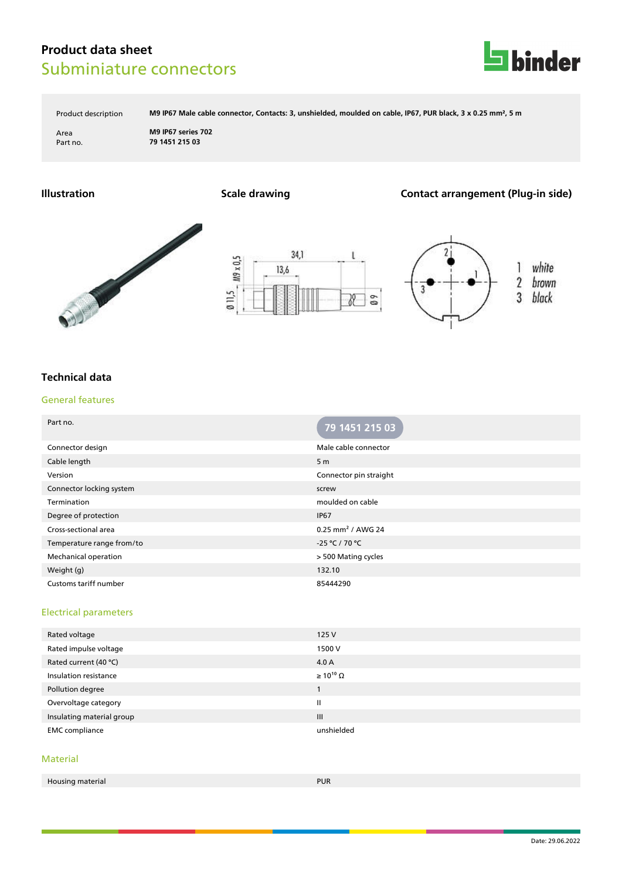# **Product data sheet** Subminiature connectors



Product description **M9 IP67 Male cable connector, Contacts: 3, unshielded, moulded on cable, IP67, PUR black, 3 x 0.25 mm², 5 m**

Area **M9 IP67 series 702** Part no. **79 1451 215 03**

### **Illustration Scale drawing Contact arrangement (Plug-in side)**







### **Technical data**

#### General features

| Part no.                  | 79 1451 215 03                |
|---------------------------|-------------------------------|
| Connector design          | Male cable connector          |
| Cable length              | 5 <sub>m</sub>                |
| Version                   | Connector pin straight        |
| Connector locking system  | screw                         |
| Termination               | moulded on cable              |
| Degree of protection      | <b>IP67</b>                   |
| Cross-sectional area      | 0.25 mm <sup>2</sup> / AWG 24 |
| Temperature range from/to | -25 °C / 70 °C                |
| Mechanical operation      | > 500 Mating cycles           |
| Weight (g)                | 132.10                        |
| Customs tariff number     | 85444290                      |

#### Electrical parameters

| Rated voltage             | 125V                  |
|---------------------------|-----------------------|
| Rated impulse voltage     | 1500 V                |
| Rated current (40 °C)     | 4.0 A                 |
| Insulation resistance     | $\geq 10^{10} \Omega$ |
| Pollution degree          |                       |
| Overvoltage category      | $\mathbf{II}$         |
| Insulating material group | $\mathbf{III}$        |
| <b>EMC</b> compliance     | unshielded            |

#### Material

| Housing material | <b>PUR</b> |
|------------------|------------|
|                  |            |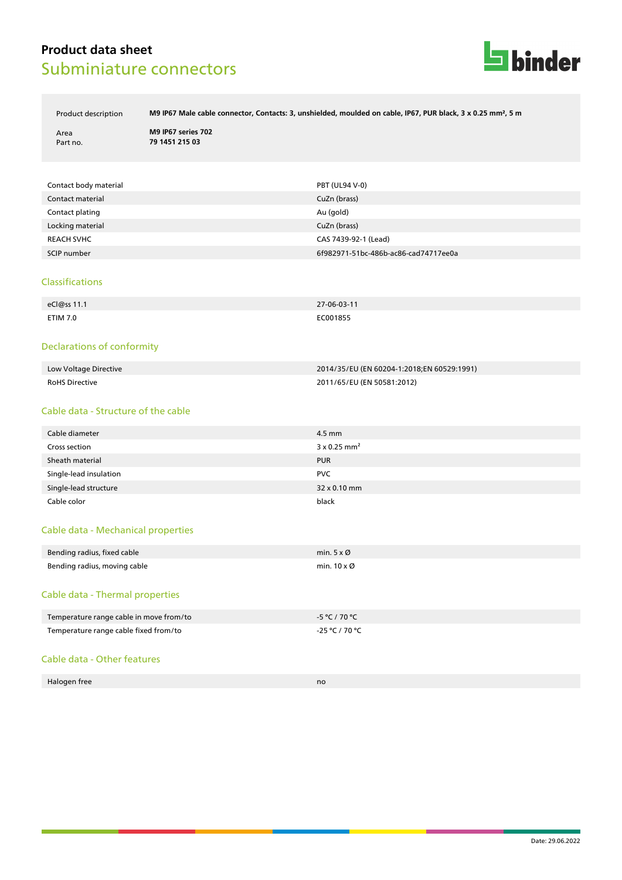## **Product data sheet** Subminiature connectors



Product description **M9 IP67 Male cable connector, Contacts: 3, unshielded, moulded on cable, IP67, PUR black, 3 x 0.25 mm², 5 m**

Area **M9 IP67 series 702** Part no. **79 1451 215 03**

| Contact body material | PBT (UL94 V-0)                       |
|-----------------------|--------------------------------------|
| Contact material      | CuZn (brass)                         |
| Contact plating       | Au (gold)                            |
| Locking material      | CuZn (brass)                         |
| <b>REACH SVHC</b>     | CAS 7439-92-1 (Lead)                 |
| SCIP number           | 6f982971-51bc-486b-ac86-cad74717ee0a |

#### Classifications

| eCl@ss 11.1     | 27-06-03-11 |
|-----------------|-------------|
|                 |             |
| <b>ETIM 7.0</b> | EC001855    |

#### Declarations of conformity

| Low Voltage Directive | 2014/35/EU (EN 60204-1:2018:EN 60529:1991) |
|-----------------------|--------------------------------------------|
| RoHS Directive        | 2011/65/EU (EN 50581:2012)                 |

#### Cable data - Structure of the cable

| Cable diameter         | 4.5 mm                          |
|------------------------|---------------------------------|
| Cross section          | $3 \times 0.25$ mm <sup>2</sup> |
| Sheath material        | <b>PUR</b>                      |
| Single-lead insulation | <b>PVC</b>                      |
| Single-lead structure  | 32 x 0.10 mm                    |
| Cable color            | black                           |

#### Cable data - Mechanical properties

| Bending radius, fixed cable  | min. $5 \times \emptyset$ |
|------------------------------|---------------------------|
| Bending radius, moving cable | min. 10 x Ø               |

#### Cable data - Thermal properties

| Temperature range cable in move from/to | -5 °C / 70 °C  |
|-----------------------------------------|----------------|
| Temperature range cable fixed from/to   | -25 °C / 70 °C |

#### Cable data - Other features

| Halogen free | no |
|--------------|----|